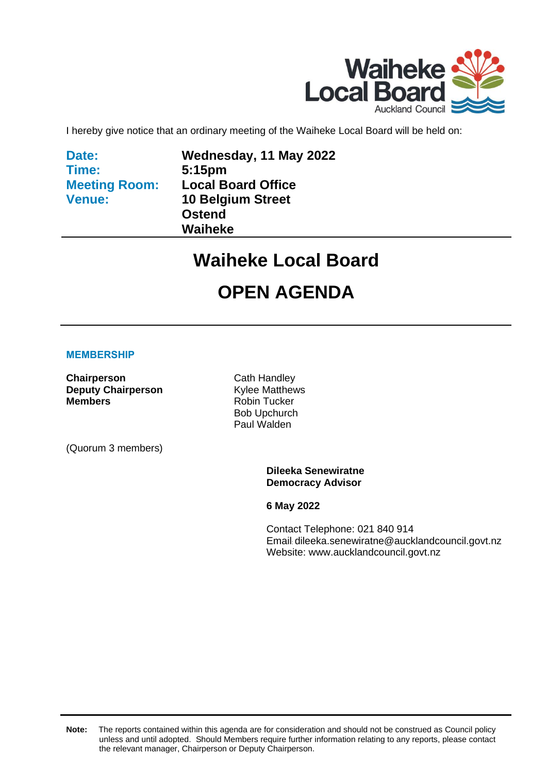

I hereby give notice that an ordinary meeting of the Waiheke Local Board will be held on:

**Date: Time: Meeting Room: Venue:**

**Wednesday, 11 May 2022 5:15pm Local Board Office 10 Belgium Street Ostend Waiheke**

### **Waiheke Local Board**

## **OPEN AGENDA**

#### **MEMBERSHIP**

**Chairperson** Cath Handley **Deputy Chairperson**<br> **Members Robin Tucker** 

(Quorum 3 members)

**Robin Tucker** Bob Upchurch Paul Walden

> **Dileeka Senewiratne Democracy Advisor**

**6 May 2022**

Contact Telephone: 021 840 914 Email: dileeka.senewiratne@aucklandcouncil.govt.nz Website: www.aucklandcouncil.govt.nz

**Note:** The reports contained within this agenda are for consideration and should not be construed as Council policy unless and until adopted. Should Members require further information relating to any reports, please contact the relevant manager, Chairperson or Deputy Chairperson.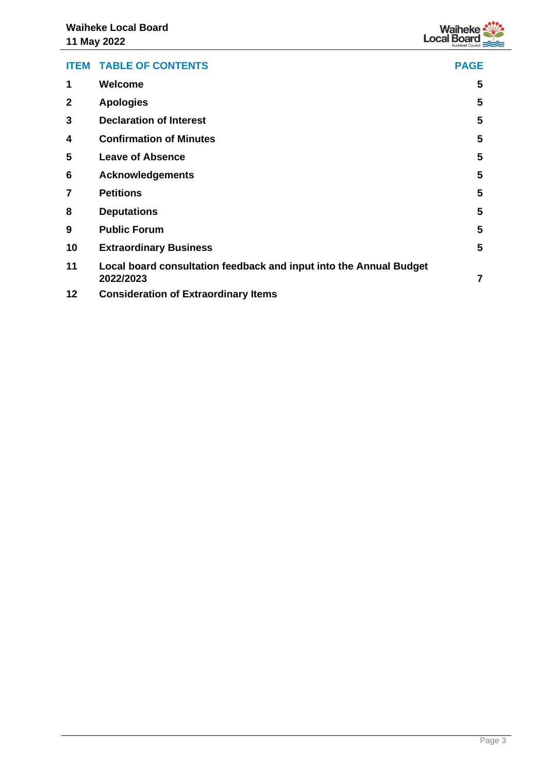

| <b>ITEM</b>  | <b>TABLE OF CONTENTS</b>                                                        | <b>PAGE</b> |
|--------------|---------------------------------------------------------------------------------|-------------|
| 1            | Welcome                                                                         | 5           |
| $\mathbf{2}$ | <b>Apologies</b>                                                                | 5           |
| 3            | <b>Declaration of Interest</b>                                                  | 5           |
| 4            | <b>Confirmation of Minutes</b>                                                  | 5           |
| 5            | <b>Leave of Absence</b>                                                         | 5           |
| 6            | <b>Acknowledgements</b>                                                         | 5           |
| 7            | <b>Petitions</b>                                                                | 5           |
| 8            | <b>Deputations</b>                                                              | 5           |
| 9            | <b>Public Forum</b>                                                             | 5           |
| 10           | <b>Extraordinary Business</b>                                                   | 5           |
| 11           | Local board consultation feedback and input into the Annual Budget<br>2022/2023 | 7           |
| 12           | <b>Consideration of Extraordinary Items</b>                                     |             |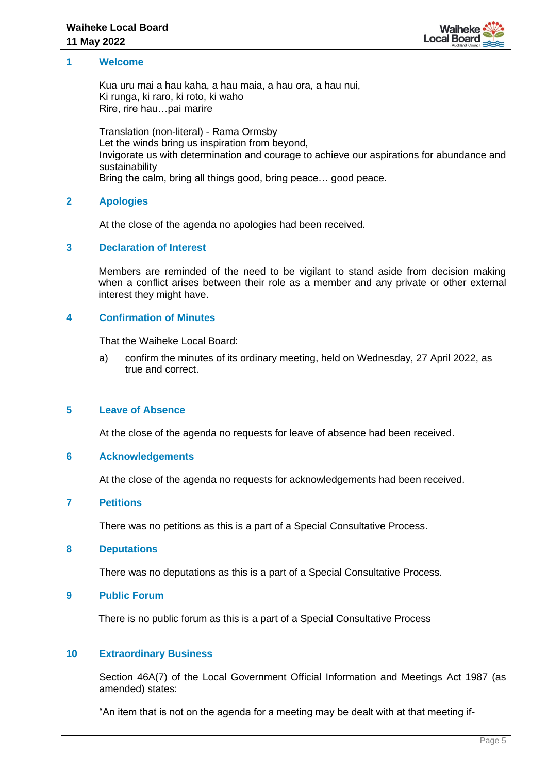

#### <span id="page-4-1"></span><span id="page-4-0"></span>**1 Welcome**

Kua uru mai a hau kaha, a hau maia, a hau ora, a hau nui, Ki runga, ki raro, ki roto, ki waho Rire, rire hau…pai marire

Translation (non-literal) - Rama Ormsby Let the winds bring us inspiration from beyond, Invigorate us with determination and courage to achieve our aspirations for abundance and sustainability Bring the calm, bring all things good, bring peace… good peace.

#### **2 Apologies**

At the close of the agenda no apologies had been received.

#### <span id="page-4-2"></span>**3 Declaration of Interest**

Members are reminded of the need to be vigilant to stand aside from decision making when a conflict arises between their role as a member and any private or other external interest they might have.

#### <span id="page-4-3"></span>**4 Confirmation of Minutes**

That the Waiheke Local Board:

a) confirm the minutes of its ordinary meeting, held on Wednesday, 27 April 2022, as true and correct.

#### <span id="page-4-4"></span>**5 Leave of Absence**

At the close of the agenda no requests for leave of absence had been received.

#### <span id="page-4-5"></span>**6 Acknowledgements**

At the close of the agenda no requests for acknowledgements had been received.

#### <span id="page-4-6"></span>**7 Petitions**

There was no petitions as this is a part of a Special Consultative Process.

#### <span id="page-4-7"></span>**8 Deputations**

There was no deputations as this is a part of a Special Consultative Process.

#### <span id="page-4-8"></span>**9 Public Forum**

There is no public forum as this is a part of a Special Consultative Process

#### <span id="page-4-9"></span>**10 Extraordinary Business**

Section 46A(7) of the Local Government Official Information and Meetings Act 1987 (as amended) states:

"An item that is not on the agenda for a meeting may be dealt with at that meeting if-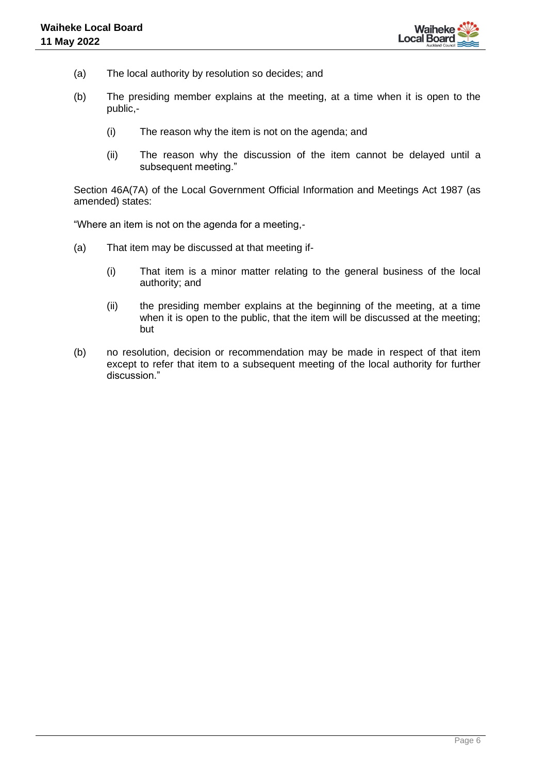

- (a) The local authority by resolution so decides; and
- (b) The presiding member explains at the meeting, at a time when it is open to the public,-
	- (i) The reason why the item is not on the agenda; and
	- (ii) The reason why the discussion of the item cannot be delayed until a subsequent meeting."

Section 46A(7A) of the Local Government Official Information and Meetings Act 1987 (as amended) states:

"Where an item is not on the agenda for a meeting,-

- (a) That item may be discussed at that meeting if-
	- (i) That item is a minor matter relating to the general business of the local authority; and
	- (ii) the presiding member explains at the beginning of the meeting, at a time when it is open to the public, that the item will be discussed at the meeting; but
- (b) no resolution, decision or recommendation may be made in respect of that item except to refer that item to a subsequent meeting of the local authority for further discussion."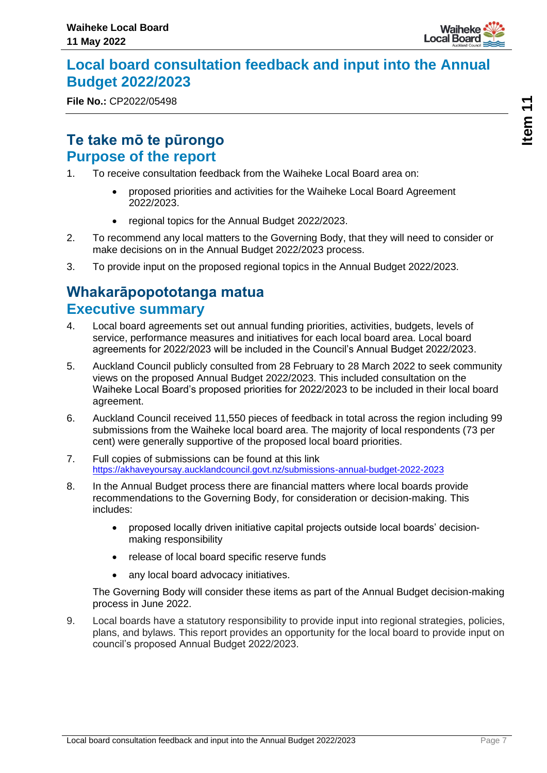

### <span id="page-6-0"></span>**Local board consultation feedback and input into the Annual Budget 2022/2023**

**File No.:** CP2022/05498

### **Te take mō te pūrongo Purpose of the report**

- 1. To receive consultation feedback from the Waiheke Local Board area on:
	- proposed priorities and activities for the Waiheke Local Board Agreement 2022/2023.
	- regional topics for the Annual Budget 2022/2023.
- 2. To recommend any local matters to the Governing Body, that they will need to consider or make decisions on in the Annual Budget 2022/2023 process.
- 3. To provide input on the proposed regional topics in the Annual Budget 2022/2023.

### **Whakarāpopototanga matua Executive summary**

- 4. Local board agreements set out annual funding priorities, activities, budgets, levels of service, performance measures and initiatives for each local board area. Local board agreements for 2022/2023 will be included in the Council's Annual Budget 2022/2023.
- 5. Auckland Council publicly consulted from 28 February to 28 March 2022 to seek community views on the proposed Annual Budget 2022/2023. This included consultation on the Waiheke Local Board's proposed priorities for 2022/2023 to be included in their local board agreement.
- 6. Auckland Council received 11,550 pieces of feedback in total across the region including 99 submissions from the Waiheke local board area. The majority of local respondents (73 per cent) were generally supportive of the proposed local board priorities.
- 7. Full copies of submissions can be found at this link <https://akhaveyoursay.aucklandcouncil.govt.nz/submissions-annual-budget-2022-2023>
- 8. In the Annual Budget process there are financial matters where local boards provide recommendations to the Governing Body, for consideration or decision-making. This includes:
	- proposed locally driven initiative capital projects outside local boards' decisionmaking responsibility
	- release of local board specific reserve funds
	- any local board advocacy initiatives.

The Governing Body will consider these items as part of the Annual Budget decision-making process in June 2022.

9. Local boards have a statutory responsibility to provide input into regional strategies, policies, plans, and bylaws. This report provides an opportunity for the local board to provide input on council's proposed Annual Budget 2022/2023.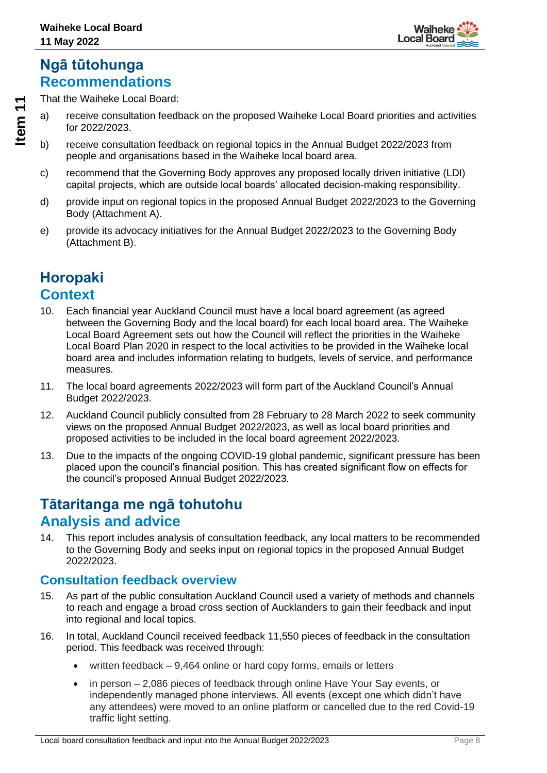

### **Ngā tūtohunga Recommendations**

That the Waiheke Local Board:

- a) receive consultation feedback on the proposed Waiheke Local Board priorities and activities for 2022/2023.
- b) receive consultation feedback on regional topics in the Annual Budget 2022/2023 from people and organisations based in the Waiheke local board area.
- c) recommend that the Governing Body approves any proposed locally driven initiative (LDI) capital projects, which are outside local boards' allocated decision-making responsibility.
- d) provide input on regional topics in the proposed Annual Budget 2022/2023 to the Governing Body (Attachment A).
- e) provide its advocacy initiatives for the Annual Budget 2022/2023 to the Governing Body (Attachment B).

### **Horopaki Context**

- 10. Each financial year Auckland Council must have a local board agreement (as agreed between the Governing Body and the local board) for each local board area. The Waiheke Local Board Agreement sets out how the Council will reflect the priorities in the Waiheke Local Board Plan 2020 in respect to the local activities to be provided in the Waiheke local board area and includes information relating to budgets, levels of service, and performance measures.
- 11. The local board agreements 2022/2023 will form part of the Auckland Council's Annual Budget 2022/2023.
- 12. Auckland Council publicly consulted from 28 February to 28 March 2022 to seek community views on the proposed Annual Budget 2022/2023, as well as local board priorities and proposed activities to be included in the local board agreement 2022/2023.
- 13. Due to the impacts of the ongoing COVID-19 global pandemic, significant pressure has been placed upon the council's financial position. This has created significant flow on effects for the council's proposed Annual Budget 2022/2023.

### **Tātaritanga me ngā tohutohu Analysis and advice**

14. This report includes analysis of consultation feedback, any local matters to be recommended to the Governing Body and seeks input on regional topics in the proposed Annual Budget 2022/2023.

### **Consultation feedback overview**

- 15. As part of the public consultation Auckland Council used a variety of methods and channels to reach and engage a broad cross section of Aucklanders to gain their feedback and input into regional and local topics.
- 16. In total, Auckland Council received feedback 11,550 pieces of feedback in the consultation period. This feedback was received through:
	- written feedback 9,464 online or hard copy forms, emails or letters
	- in person 2,086 pieces of feedback through online Have Your Say events, or independently managed phone interviews. All events (except one which didn't have any attendees) were moved to an online platform or cancelled due to the red Covid-19 traffic light setting.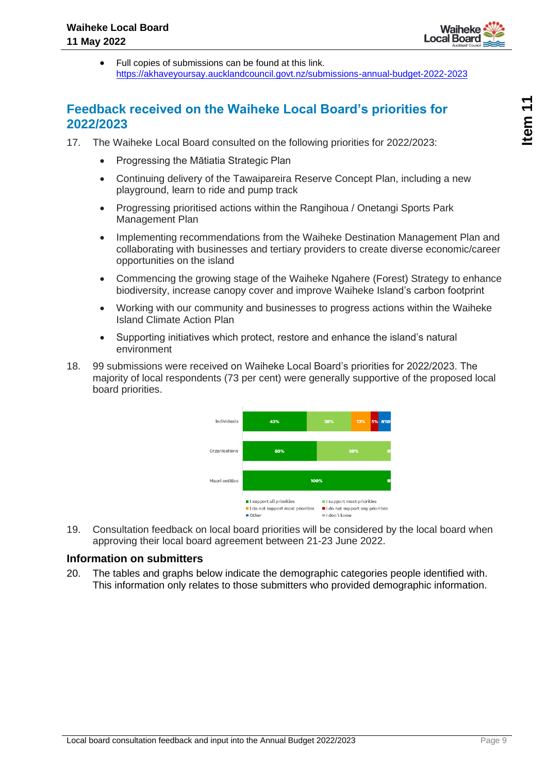

• Full copies of submissions can be found at this link. <https://akhaveyoursay.aucklandcouncil.govt.nz/submissions-annual-budget-2022-2023>

### **Feedback received on the Waiheke Local Board's priorities for 2022/2023**

- 17. The Waiheke Local Board consulted on the following priorities for 2022/2023:
	- Progressing the Mātiatia Strategic Plan
	- Continuing delivery of the Tawaipareira Reserve Concept Plan, including a new playground, learn to ride and pump track
	- Progressing prioritised actions within the Rangihoua / Onetangi Sports Park Management Plan
	- Implementing recommendations from the Waiheke Destination Management Plan and collaborating with businesses and tertiary providers to create diverse economic/career opportunities on the island
	- Commencing the growing stage of the Waiheke Ngahere (Forest) Strategy to enhance biodiversity, increase canopy cover and improve Waiheke Island's carbon footprint
	- Working with our community and businesses to progress actions within the Waiheke Island Climate Action Plan
	- Supporting initiatives which protect, restore and enhance the island's natural environment
- 18. 99 submissions were received on Waiheke Local Board's priorities for 2022/2023. The majority of local respondents (73 per cent) were generally supportive of the proposed local board priorities.



19. Consultation feedback on local board priorities will be considered by the local board when approving their local board agreement between 21-23 June 2022.

#### **Information on submitters**

20. The tables and graphs below indicate the demographic categories people identified with. This information only relates to those submitters who provided demographic information.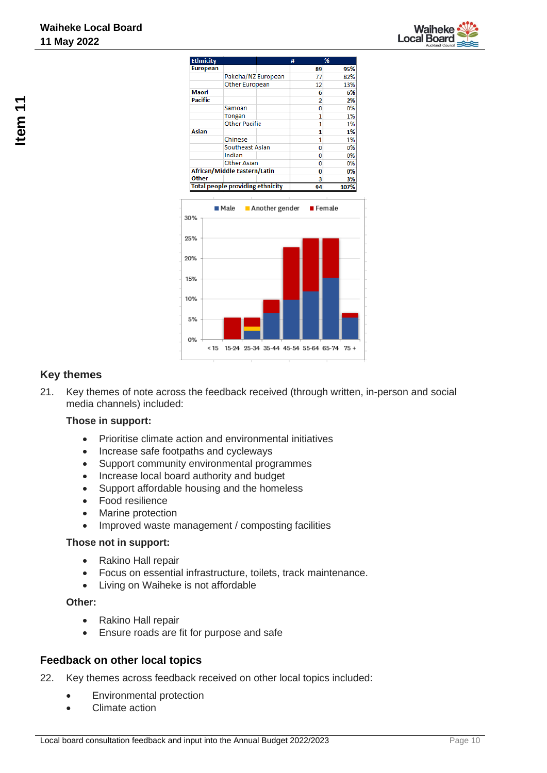



### **Key themes**

21. Key themes of note across the feedback received (through written, in-person and social media channels) included:

< 15 15-24 25-34 35-44 45-54 55-64 65-74 75 +

#### **Those in support:**

- Prioritise climate action and environmental initiatives
- Increase safe footpaths and cycleways
- Support community environmental programmes

10%

5%

O<sub>o</sub>c

- Increase local board authority and budget
- Support affordable housing and the homeless
- Food resilience
- Marine protection
- Improved waste management / composting facilities

#### **Those not in support:**

- Rakino Hall repair
- Focus on essential infrastructure, toilets, track maintenance.
- Living on Waiheke is not affordable

#### **Other:**

- Rakino Hall repair
- Ensure roads are fit for purpose and safe

#### **Feedback on other local topics**

- 22. Key themes across feedback received on other local topics included:
	- Environmental protection
	- Climate action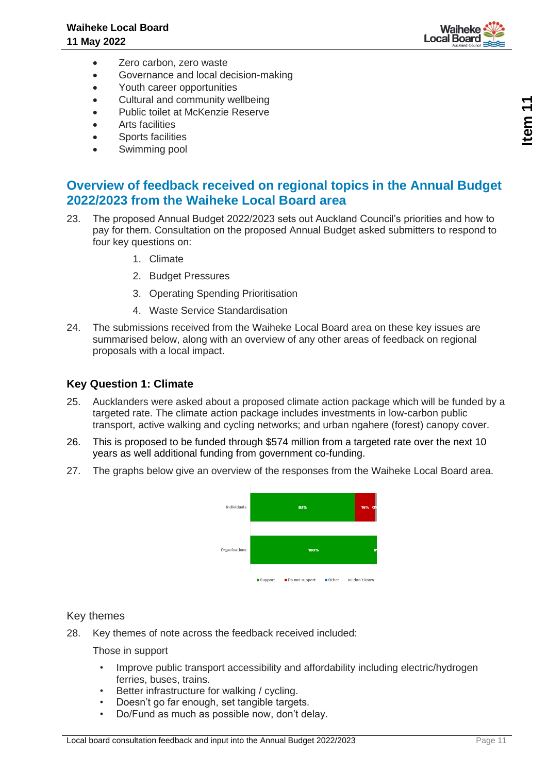

- Zero carbon, zero waste
- Governance and local decision-making
- Youth career opportunities
- Cultural and community wellbeing
- Public toilet at McKenzie Reserve
- Arts facilities
- Sports facilities
- Swimming pool

#### **Overview of feedback received on regional topics in the Annual Budget 2022/2023 from the Waiheke Local Board area**

- 23. The proposed Annual Budget 2022/2023 sets out Auckland Council's priorities and how to pay for them. Consultation on the proposed Annual Budget asked submitters to respond to four key questions on:
	- 1. Climate
	- 2. Budget Pressures
	- 3. Operating Spending Prioritisation
	- 4. Waste Service Standardisation
- 24. The submissions received from the Waiheke Local Board area on these key issues are summarised below, along with an overview of any other areas of feedback on regional proposals with a local impact.

#### **Key Question 1: Climate**

- 25. Aucklanders were asked about a proposed climate action package which will be funded by a targeted rate. The climate action package includes investments in low-carbon public transport, active walking and cycling networks; and urban ngahere (forest) canopy cover.
- 26. This is proposed to be funded through \$574 million from a targeted rate over the next 10 years as well additional funding from government co-funding.
- 27. The graphs below give an overview of the responses from the Waiheke Local Board area.



#### Key themes

28. Key themes of note across the feedback received included:

Those in support

- Improve public transport accessibility and affordability including electric/hydrogen ferries, buses, trains.
- Better infrastructure for walking / cycling.
- Doesn't go far enough, set tangible targets.
- Do/Fund as much as possible now, don't delay.

**Item 11**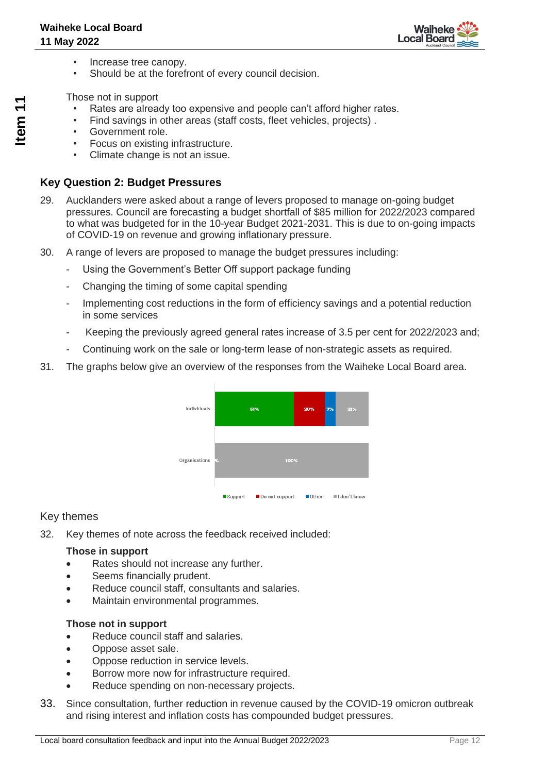

- Increase tree canopy.
- Should be at the forefront of every council decision.

Those not in support

- Rates are already too expensive and people can't afford higher rates.
- Find savings in other areas (staff costs, fleet vehicles, projects) .
- Government role.
- Focus on existing infrastructure.
- Climate change is not an issue.

#### **Key Question 2: Budget Pressures**

- 29. Aucklanders were asked about a range of levers proposed to manage on-going budget pressures. Council are forecasting a budget shortfall of \$85 million for 2022/2023 compared to what was budgeted for in the 10-year Budget 2021-2031. This is due to on-going impacts of COVID-19 on revenue and growing inflationary pressure.
- 30. A range of levers are proposed to manage the budget pressures including:
	- Using the Government's Better Off support package funding
	- Changing the timing of some capital spending
	- Implementing cost reductions in the form of efficiency savings and a potential reduction in some services
	- Keeping the previously agreed general rates increase of 3.5 per cent for 2022/2023 and;
	- Continuing work on the sale or long-term lease of non-strategic assets as required.
- 31. The graphs below give an overview of the responses from the Waiheke Local Board area.



#### Key themes

32. Key themes of note across the feedback received included:

#### **Those in support**

- Rates should not increase any further.
- Seems financially prudent.
- Reduce council staff, consultants and salaries.
- Maintain environmental programmes.

#### **Those not in support**

- Reduce council staff and salaries.
- Oppose asset sale.
- Oppose reduction in service levels.
- Borrow more now for infrastructure required.
- Reduce spending on non-necessary projects.
- 33. Since consultation, further reduction in revenue caused by the COVID-19 omicron outbreak and rising interest and inflation costs has compounded budget pressures.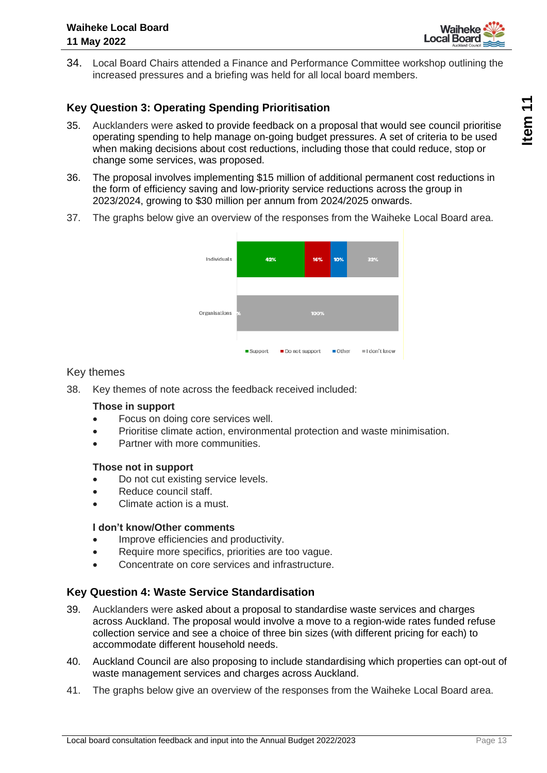

34. Local Board Chairs attended a Finance and Performance Committee workshop outlining the increased pressures and a briefing was held for all local board members.

#### **Key Question 3: Operating Spending Prioritisation**

- 35. Aucklanders were asked to provide feedback on a proposal that would see council prioritise operating spending to help manage on-going budget pressures. A set of criteria to be used when making decisions about cost reductions, including those that could reduce, stop or change some services, was proposed.
- 36. The proposal involves implementing \$15 million of additional permanent cost reductions in the form of efficiency saving and low-priority service reductions across the group in 2023/2024, growing to \$30 million per annum from 2024/2025 onwards.
- 37. The graphs below give an overview of the responses from the Waiheke Local Board area.



#### Key themes

38. Key themes of note across the feedback received included:

#### **Those in support**

- Focus on doing core services well.
- Prioritise climate action, environmental protection and waste minimisation.
- Partner with more communities.

#### **Those not in support**

- Do not cut existing service levels.
- Reduce council staff.
- Climate action is a must.

#### **I don't know/Other comments**

- Improve efficiencies and productivity.
- Require more specifics, priorities are too vague.
- Concentrate on core services and infrastructure.

#### **Key Question 4: Waste Service Standardisation**

- 39. Aucklanders were asked about a proposal to standardise waste services and charges across Auckland. The proposal would involve a move to a region-wide rates funded refuse collection service and see a choice of three bin sizes (with different pricing for each) to accommodate different household needs.
- 40. Auckland Council are also proposing to include standardising which properties can opt-out of waste management services and charges across Auckland.
- 41. The graphs below give an overview of the responses from the Waiheke Local Board area.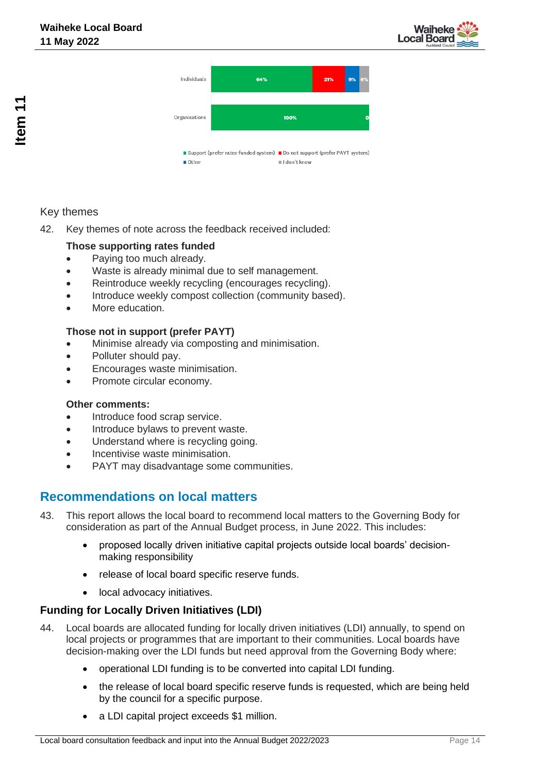



#### Key themes

42. Key themes of note across the feedback received included:

#### **Those supporting rates funded**

- Paying too much already.
- Waste is already minimal due to self management.
- Reintroduce weekly recycling (encourages recycling).
- Introduce weekly compost collection (community based).
- More education.

#### **Those not in support (prefer PAYT)**

- Minimise already via composting and minimisation.
- Polluter should pay.
- Encourages waste minimisation.
- Promote circular economy.

#### **Other comments:**

- Introduce food scrap service.
- Introduce bylaws to prevent waste.
- Understand where is recycling going.
- Incentivise waste minimisation.
- PAYT may disadvantage some communities.

#### **Recommendations on local matters**

- 43. This report allows the local board to recommend local matters to the Governing Body for consideration as part of the Annual Budget process, in June 2022. This includes:
	- proposed locally driven initiative capital projects outside local boards' decisionmaking responsibility
	- release of local board specific reserve funds.
	- local advocacy initiatives.

#### **Funding for Locally Driven Initiatives (LDI)**

- 44. Local boards are allocated funding for locally driven initiatives (LDI) annually, to spend on local projects or programmes that are important to their communities. Local boards have decision-making over the LDI funds but need approval from the Governing Body where:
	- operational LDI funding is to be converted into capital LDI funding.
	- the release of local board specific reserve funds is requested, which are being held by the council for a specific purpose.
	- a LDI capital project exceeds \$1 million.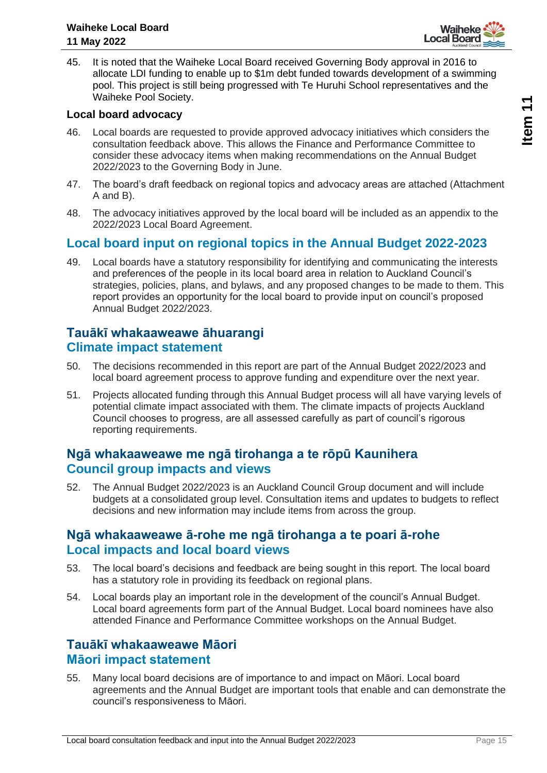

45. It is noted that the Waiheke Local Board received Governing Body approval in 2016 to allocate LDI funding to enable up to \$1m debt funded towards development of a swimming pool. This project is still being progressed with Te Huruhi School representatives and the Waiheke Pool Society.

#### **Local board advocacy**

- 46. Local boards are requested to provide approved advocacy initiatives which considers the consultation feedback above. This allows the Finance and Performance Committee to consider these advocacy items when making recommendations on the Annual Budget 2022/2023 to the Governing Body in June.
- 47. The board's draft feedback on regional topics and advocacy areas are attached (Attachment A and B).
- 48. The advocacy initiatives approved by the local board will be included as an appendix to the 2022/2023 Local Board Agreement.

### **Local board input on regional topics in the Annual Budget 2022-2023**

49. Local boards have a statutory responsibility for identifying and communicating the interests and preferences of the people in its local board area in relation to Auckland Council's strategies, policies, plans, and bylaws, and any proposed changes to be made to them. This report provides an opportunity for the local board to provide input on council's proposed Annual Budget 2022/2023.

#### **Tauākī whakaaweawe āhuarangi Climate impact statement**

- 50. The decisions recommended in this report are part of the Annual Budget 2022/2023 and local board agreement process to approve funding and expenditure over the next year.
- 51. Projects allocated funding through this Annual Budget process will all have varying levels of potential climate impact associated with them. The climate impacts of projects Auckland Council chooses to progress, are all assessed carefully as part of council's rigorous reporting requirements.

### **Ngā whakaaweawe me ngā tirohanga a te rōpū Kaunihera Council group impacts and views**

52. The Annual Budget 2022/2023 is an Auckland Council Group document and will include budgets at a consolidated group level. Consultation items and updates to budgets to reflect decisions and new information may include items from across the group.

#### **Ngā whakaaweawe ā-rohe me ngā tirohanga a te poari ā-rohe Local impacts and local board views**

- 53. The local board's decisions and feedback are being sought in this report. The local board has a statutory role in providing its feedback on regional plans.
- 54. Local boards play an important role in the development of the council's Annual Budget. Local board agreements form part of the Annual Budget. Local board nominees have also attended Finance and Performance Committee workshops on the Annual Budget.

#### **Tauākī whakaaweawe Māori Māori impact statement**

55. Many local board decisions are of importance to and impact on Māori. Local board agreements and the Annual Budget are important tools that enable and can demonstrate the council's responsiveness to Māori.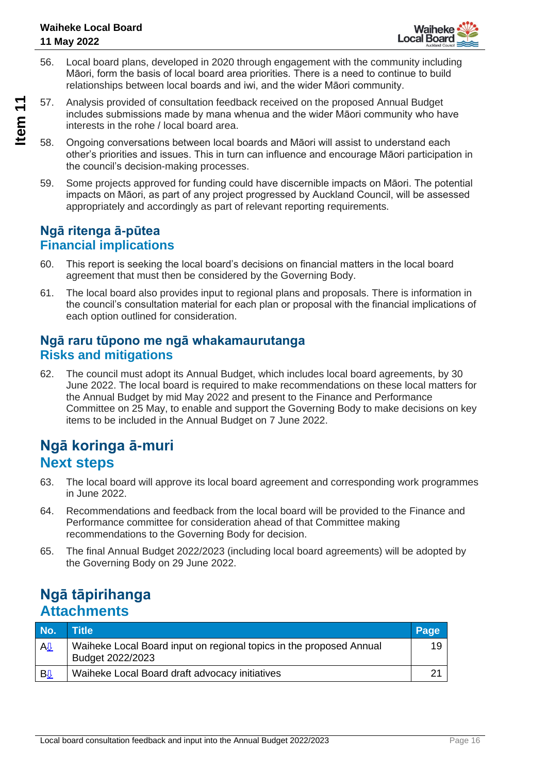- 56. Local board plans, developed in 2020 through engagement with the community including Māori, form the basis of local board area priorities. There is a need to continue to build relationships between local boards and iwi, and the wider Māori community.
- 57. Analysis provided of consultation feedback received on the proposed Annual Budget includes submissions made by mana whenua and the wider Māori community who have interests in the rohe / local board area.

- 58. Ongoing conversations between local boards and Māori will assist to understand each other's priorities and issues. This in turn can influence and encourage Māori participation in the council's decision-making processes.
- 59. Some projects approved for funding could have discernible impacts on Māori. The potential impacts on Māori, as part of any project progressed by Auckland Council, will be assessed appropriately and accordingly as part of relevant reporting requirements.

### **Ngā ritenga ā-pūtea Financial implications**

- 60. This report is seeking the local board's decisions on financial matters in the local board agreement that must then be considered by the Governing Body.
- 61. The local board also provides input to regional plans and proposals. There is information in the council's consultation material for each plan or proposal with the financial implications of each option outlined for consideration.

### **Ngā raru tūpono me ngā whakamaurutanga Risks and mitigations**

62. The council must adopt its Annual Budget, which includes local board agreements, by 30 June 2022. The local board is required to make recommendations on these local matters for the Annual Budget by mid May 2022 and present to the Finance and Performance Committee on 25 May, to enable and support the Governing Body to make decisions on key items to be included in the Annual Budget on 7 June 2022.

### **Ngā koringa ā-muri Next steps**

- 63. The local board will approve its local board agreement and corresponding work programmes in June 2022.
- 64. Recommendations and feedback from the local board will be provided to the Finance and Performance committee for consideration ahead of that Committee making recommendations to the Governing Body for decision.
- 65. The final Annual Budget 2022/2023 (including local board agreements) will be adopted by the Governing Body on 29 June 2022.

### **Ngā tāpirihanga Attachments**

| No.       | Title                                                                                   | Page |
|-----------|-----------------------------------------------------------------------------------------|------|
| A         | Waiheke Local Board input on regional topics in the proposed Annual<br>Budget 2022/2023 | 19   |
| <u>By</u> | Waiheke Local Board draft advocacy initiatives                                          |      |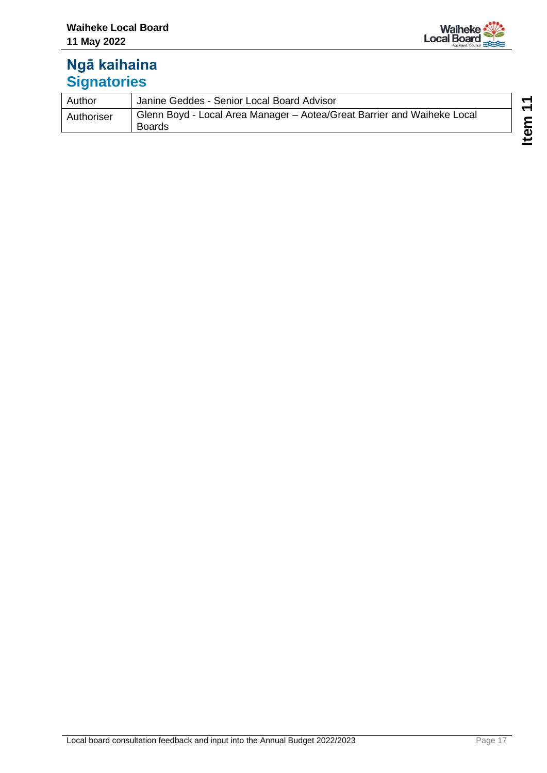

### **Ngā kaihaina Signatories**

| Author     | Janine Geddes - Senior Local Board Advisor                                               |
|------------|------------------------------------------------------------------------------------------|
| Authoriser | Glenn Boyd - Local Area Manager – Aotea/Great Barrier and Waiheke Local<br><b>Boards</b> |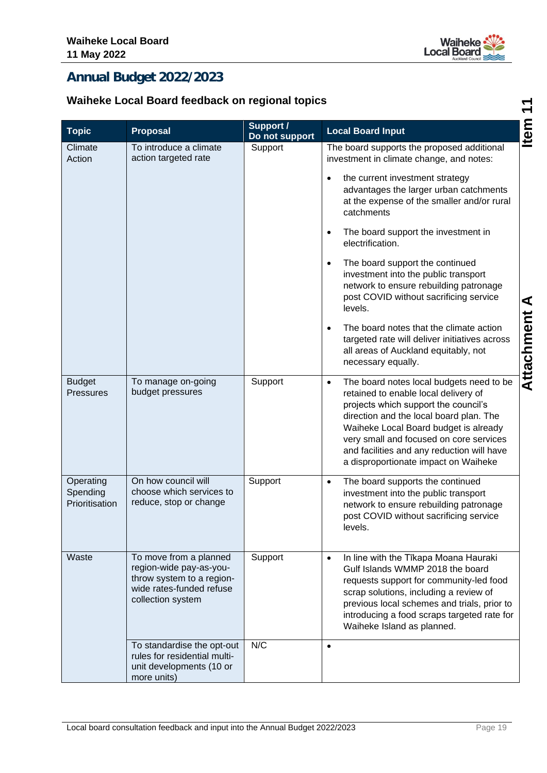

**Attachment A Item 11**

### <span id="page-18-0"></span>**Annual Budget 2022/2023**

### **Waiheke Local Board feedback on regional topics**

|                                         | Waiheke Local Board feedback on regional topics                                                                                 |                                    |                                                                                                                                                                                                                                                                                                                                                            | ↽          |
|-----------------------------------------|---------------------------------------------------------------------------------------------------------------------------------|------------------------------------|------------------------------------------------------------------------------------------------------------------------------------------------------------------------------------------------------------------------------------------------------------------------------------------------------------------------------------------------------------|------------|
| <b>Topic</b>                            | Proposal                                                                                                                        | <b>Support /</b><br>Do not support | <b>Local Board Input</b>                                                                                                                                                                                                                                                                                                                                   | Item       |
| Climate<br>Action                       | To introduce a climate<br>action targeted rate                                                                                  | Support                            | The board supports the proposed additional<br>investment in climate change, and notes:                                                                                                                                                                                                                                                                     |            |
|                                         |                                                                                                                                 |                                    | the current investment strategy<br>advantages the larger urban catchments<br>at the expense of the smaller and/or rural<br>catchments                                                                                                                                                                                                                      |            |
|                                         |                                                                                                                                 |                                    | The board support the investment in<br>$\bullet$<br>electrification.                                                                                                                                                                                                                                                                                       |            |
|                                         |                                                                                                                                 |                                    | The board support the continued<br>investment into the public transport<br>network to ensure rebuilding patronage<br>post COVID without sacrificing service<br>levels.                                                                                                                                                                                     | ⋖          |
|                                         |                                                                                                                                 |                                    | The board notes that the climate action<br>targeted rate will deliver initiatives across<br>all areas of Auckland equitably, not<br>necessary equally.                                                                                                                                                                                                     | Attachment |
| <b>Budget</b><br><b>Pressures</b>       | To manage on-going<br>budget pressures                                                                                          | Support                            | The board notes local budgets need to be<br>$\bullet$<br>retained to enable local delivery of<br>projects which support the council's<br>direction and the local board plan. The<br>Waiheke Local Board budget is already<br>very small and focused on core services<br>and facilities and any reduction will have<br>a disproportionate impact on Waiheke |            |
| Operating<br>Spending<br>Prioritisation | On how council will<br>choose which services to<br>reduce, stop or change                                                       | Support                            | The board supports the continued<br>$\bullet$<br>investment into the public transport<br>network to ensure rebuilding patronage<br>post COVID without sacrificing service<br>levels.                                                                                                                                                                       |            |
| Waste                                   | To move from a planned<br>region-wide pay-as-you-<br>throw system to a region-<br>wide rates-funded refuse<br>collection system | Support                            | In line with the Tīkapa Moana Hauraki<br>$\bullet$<br>Gulf Islands WMMP 2018 the board<br>requests support for community-led food<br>scrap solutions, including a review of<br>previous local schemes and trials, prior to<br>introducing a food scraps targeted rate for<br>Waiheke Island as planned.                                                    |            |
|                                         | To standardise the opt-out<br>rules for residential multi-<br>unit developments (10 or<br>more units)                           | N/C                                | $\bullet$                                                                                                                                                                                                                                                                                                                                                  |            |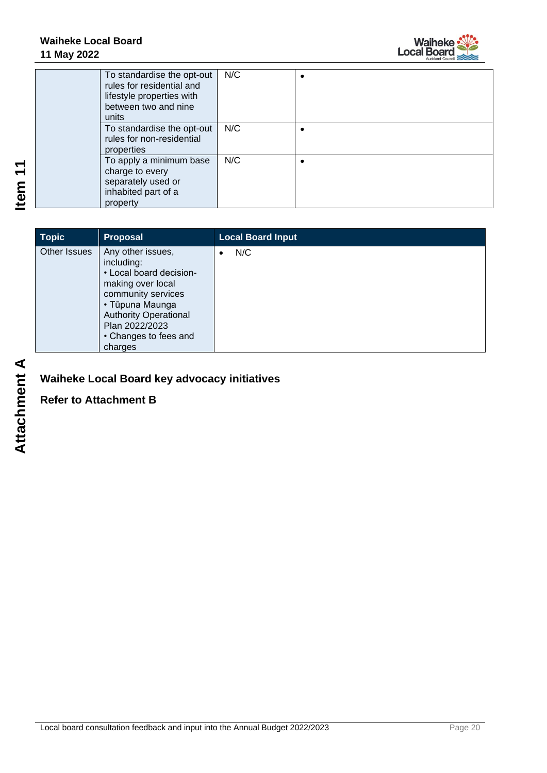

| To standardise the opt-out<br>rules for residential and<br>lifestyle properties with<br>between two and nine<br>units | N/C |  |
|-----------------------------------------------------------------------------------------------------------------------|-----|--|
| To standardise the opt-out<br>rules for non-residential<br>properties                                                 | N/C |  |
| To apply a minimum base<br>charge to every<br>separately used or<br>inhabited part of a<br>property                   | N/C |  |

| <b>Topic</b> | <b>Proposal</b>                                                                                                                                                                                                | <b>Local Board Input</b> |
|--------------|----------------------------------------------------------------------------------------------------------------------------------------------------------------------------------------------------------------|--------------------------|
| Other Issues | Any other issues,<br>including:<br>• Local board decision-<br>making over local<br>community services<br>• Tūpuna Maunga<br><b>Authority Operational</b><br>Plan 2022/2023<br>• Changes to fees and<br>charges | N/C                      |

**Waiheke Local Board key advocacy initiatives**

**Refer to Attachment B**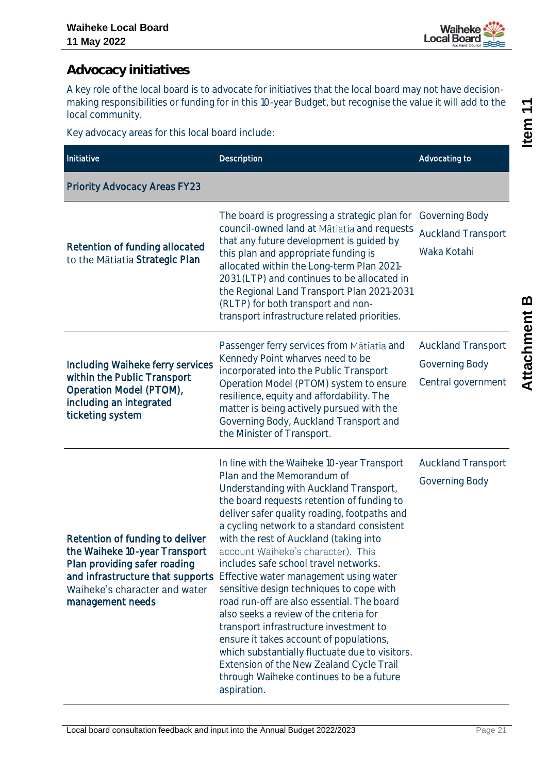

### <span id="page-20-0"></span>**Advocacy initiatives**

A key role of the local board is to advocate for initiatives that the local board may not have decisionmaking responsibilities or funding for in this 10-year Budget, but recognise the value it will add to the local community.

Key advocacy areas for this local board include:

| Initiative                                                                                                                                                                                | Description                                                                                                                                                                                                                                                                                                                                                                                                                                                                                                                                                                                                                                                                                                                                                                                                          | Advocating to                                                     |
|-------------------------------------------------------------------------------------------------------------------------------------------------------------------------------------------|----------------------------------------------------------------------------------------------------------------------------------------------------------------------------------------------------------------------------------------------------------------------------------------------------------------------------------------------------------------------------------------------------------------------------------------------------------------------------------------------------------------------------------------------------------------------------------------------------------------------------------------------------------------------------------------------------------------------------------------------------------------------------------------------------------------------|-------------------------------------------------------------------|
| <b>Priority Advocacy Areas FY23</b>                                                                                                                                                       |                                                                                                                                                                                                                                                                                                                                                                                                                                                                                                                                                                                                                                                                                                                                                                                                                      |                                                                   |
| Retention of funding allocated<br>to the Mātiatia Strategic Plan                                                                                                                          | The board is progressing a strategic plan for<br>council-owned land at Mātiatia and requests<br>that any future development is guided by<br>this plan and appropriate funding is<br>allocated within the Long-term Plan 2021-<br>2031 (LTP) and continues to be allocated in<br>the Regional Land Transport Plan 2021-2031<br>(RLTP) for both transport and non-<br>transport infrastructure related priorities.                                                                                                                                                                                                                                                                                                                                                                                                     | Governing Body<br><b>Auckland Transport</b><br>Waka Kotahi        |
| Including Waiheke ferry services<br>within the Public Transport<br>Operation Model (PTOM),<br>including an integrated<br>ticketing system                                                 | Passenger ferry services from Mātiatia and<br>Kennedy Point wharves need to be<br>incorporated into the Public Transport<br>Operation Model (PTOM) system to ensure<br>resilience, equity and affordability. The<br>matter is being actively pursued with the<br>Governing Body, Auckland Transport and<br>the Minister of Transport.                                                                                                                                                                                                                                                                                                                                                                                                                                                                                | <b>Auckland Transport</b><br>Governing Body<br>Central government |
| Retention of funding to deliver<br>the Waiheke 10-year Transport<br>Plan providing safer roading<br>and infrastructure that supports<br>Waiheke's character and water<br>management needs | In line with the Waiheke 10-year Transport<br>Plan and the Memorandum of<br>Understanding with Auckland Transport,<br>the board requests retention of funding to<br>deliver safer quality roading, footpaths and<br>a cycling network to a standard consistent<br>with the rest of Auckland (taking into<br>account Waiheke's character). This<br>includes safe school travel networks.<br>Effective water management using water<br>sensitive design techniques to cope with<br>road run-off are also essential. The board<br>also seeks a review of the criteria for<br>transport infrastructure investment to<br>ensure it takes account of populations,<br>which substantially fluctuate due to visitors.<br>Extension of the New Zealand Cycle Trail<br>through Waiheke continues to be a future<br>aspiration. | <b>Auckland Transport</b><br>Governing Body                       |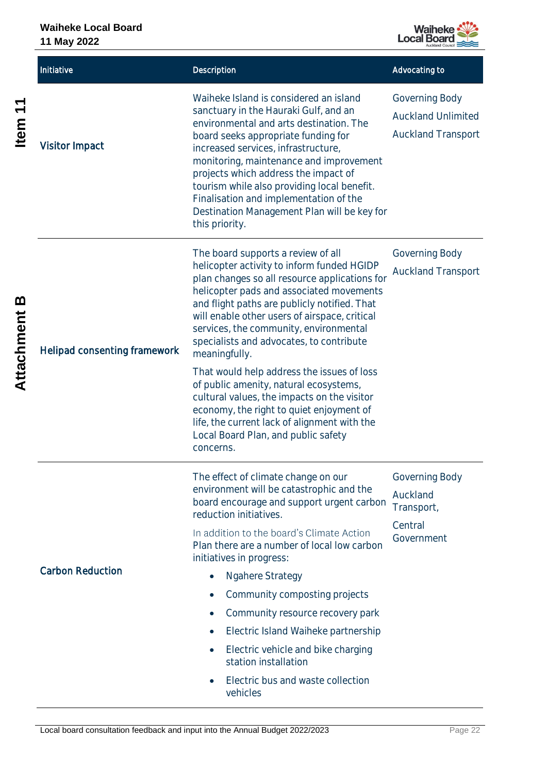

|                   | Initiative                   | Description                                                                                                                                                                                                                                                                                                                                                                                                                                                                                                                                                                                                                                                                  | Advocating to                                                            |
|-------------------|------------------------------|------------------------------------------------------------------------------------------------------------------------------------------------------------------------------------------------------------------------------------------------------------------------------------------------------------------------------------------------------------------------------------------------------------------------------------------------------------------------------------------------------------------------------------------------------------------------------------------------------------------------------------------------------------------------------|--------------------------------------------------------------------------|
| Item <sub>1</sub> | <b>Visitor Impact</b>        | Waiheke Island is considered an island<br>sanctuary in the Hauraki Gulf, and an<br>environmental and arts destination. The<br>board seeks appropriate funding for<br>increased services, infrastructure,<br>monitoring, maintenance and improvement<br>projects which address the impact of<br>tourism while also providing local benefit.<br>Finalisation and implementation of the<br>Destination Management Plan will be key for<br>this priority.                                                                                                                                                                                                                        | Governing Body<br><b>Auckland Unlimited</b><br><b>Auckland Transport</b> |
| മ<br>Attachment   | Helipad consenting framework | The board supports a review of all<br>helicopter activity to inform funded HGIDP<br>plan changes so all resource applications for<br>helicopter pads and associated movements<br>and flight paths are publicly notified. That<br>will enable other users of airspace, critical<br>services, the community, environmental<br>specialists and advocates, to contribute<br>meaningfully.<br>That would help address the issues of loss<br>of public amenity, natural ecosystems,<br>cultural values, the impacts on the visitor<br>economy, the right to quiet enjoyment of<br>life, the current lack of alignment with the<br>Local Board Plan, and public safety<br>concerns. | Governing Body<br><b>Auckland Transport</b>                              |
|                   | <b>Carbon Reduction</b>      | The effect of climate change on our<br>environment will be catastrophic and the<br>board encourage and support urgent carbon<br>reduction initiatives.<br>In addition to the board's Climate Action<br>Plan there are a number of local low carbon<br>initiatives in progress:<br><b>Ngahere Strategy</b><br>Community composting projects<br>Community resource recovery park<br>$\bullet$<br>Electric Island Waiheke partnership<br>Electric vehicle and bike charging<br>station installation<br>Electric bus and waste collection<br>vehicles                                                                                                                            | Governing Body<br>Auckland<br>Transport,<br>Central<br>Government        |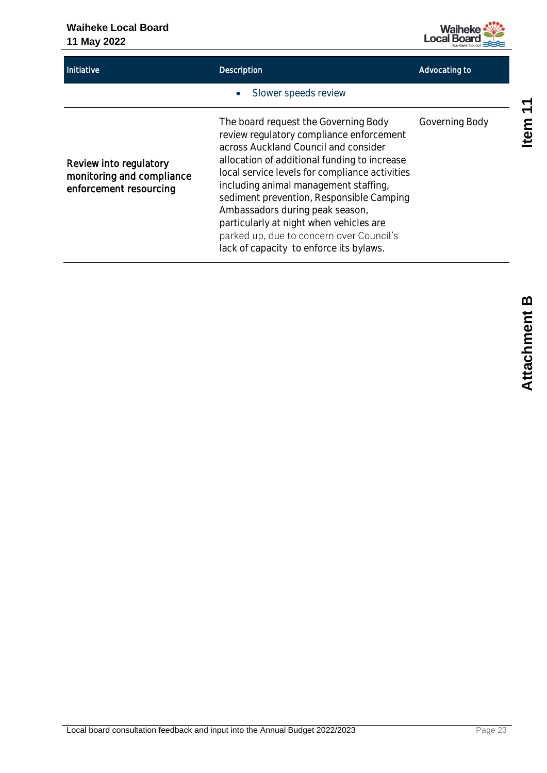#### **Waiheke Local Board 11 May 2022**

# **Waiheke**<br>Local Board

| Initiative                                                                    | Description                                                                                                                                                                                                                                                                                                                                                                                                                                                                          | Advocating to  |
|-------------------------------------------------------------------------------|--------------------------------------------------------------------------------------------------------------------------------------------------------------------------------------------------------------------------------------------------------------------------------------------------------------------------------------------------------------------------------------------------------------------------------------------------------------------------------------|----------------|
|                                                                               | Slower speeds review<br>$\bullet$                                                                                                                                                                                                                                                                                                                                                                                                                                                    |                |
| Review into regulatory<br>monitoring and compliance<br>enforcement resourcing | The board request the Governing Body<br>review regulatory compliance enforcement<br>across Auckland Council and consider<br>allocation of additional funding to increase<br>local service levels for compliance activities<br>including animal management staffing,<br>sediment prevention, Responsible Camping<br>Ambassadors during peak season,<br>particularly at night when vehicles are<br>parked up, due to concern over Council's<br>lack of capacity to enforce its bylaws. | Governing Body |

Item<sub>11</sub>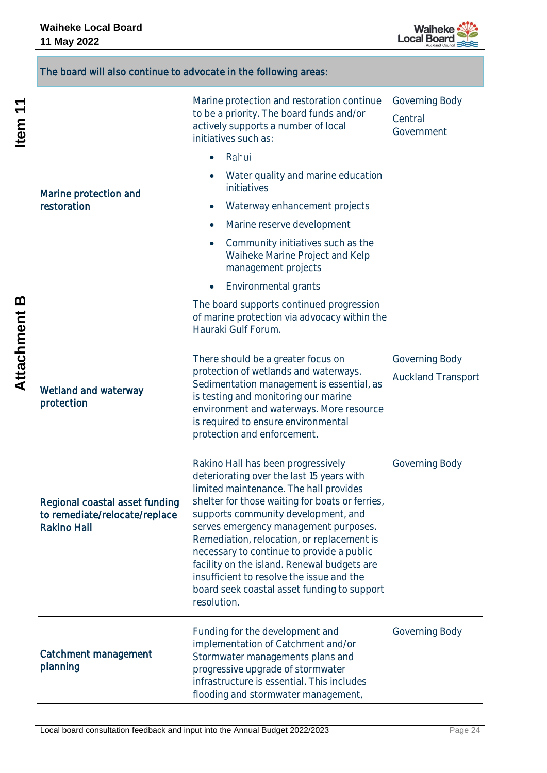

|                   | The board will also continue to advocate in the following areas:                      |                                                                                                                                                                                                                                                                                                                                                                                                                                                                                                                   |                                             |
|-------------------|---------------------------------------------------------------------------------------|-------------------------------------------------------------------------------------------------------------------------------------------------------------------------------------------------------------------------------------------------------------------------------------------------------------------------------------------------------------------------------------------------------------------------------------------------------------------------------------------------------------------|---------------------------------------------|
| Item <sub>1</sub> |                                                                                       | Marine protection and restoration continue<br>to be a priority. The board funds and/or<br>actively supports a number of local<br>initiatives such as:                                                                                                                                                                                                                                                                                                                                                             | Governing Body<br>Central<br>Government     |
|                   |                                                                                       | Rāhui<br>$\bullet$                                                                                                                                                                                                                                                                                                                                                                                                                                                                                                |                                             |
|                   | Marine protection and                                                                 | Water quality and marine education<br>initiatives                                                                                                                                                                                                                                                                                                                                                                                                                                                                 |                                             |
|                   | restoration                                                                           | Waterway enhancement projects<br>$\bullet$                                                                                                                                                                                                                                                                                                                                                                                                                                                                        |                                             |
|                   |                                                                                       | Marine reserve development<br>$\bullet$                                                                                                                                                                                                                                                                                                                                                                                                                                                                           |                                             |
|                   |                                                                                       | Community initiatives such as the<br>$\bullet$<br>Waiheke Marine Project and Kelp<br>management projects                                                                                                                                                                                                                                                                                                                                                                                                          |                                             |
|                   |                                                                                       | Environmental grants                                                                                                                                                                                                                                                                                                                                                                                                                                                                                              |                                             |
| <u>ന</u>          |                                                                                       | The board supports continued progression<br>of marine protection via advocacy within the<br>Hauraki Gulf Forum.                                                                                                                                                                                                                                                                                                                                                                                                   |                                             |
| <b>Attachment</b> | Wetland and waterway<br>protection                                                    | There should be a greater focus on<br>protection of wetlands and waterways.<br>Sedimentation management is essential, as<br>is testing and monitoring our marine<br>environment and waterways. More resource<br>is required to ensure environmental<br>protection and enforcement.                                                                                                                                                                                                                                | Governing Body<br><b>Auckland Transport</b> |
|                   | Regional coastal asset funding<br>to remediate/relocate/replace<br><b>Rakino Hall</b> | Rakino Hall has been progressively<br>deteriorating over the last 15 years with<br>limited maintenance. The hall provides<br>shelter for those waiting for boats or ferries,<br>supports community development, and<br>serves emergency management purposes.<br>Remediation, relocation, or replacement is<br>necessary to continue to provide a public<br>facility on the island. Renewal budgets are<br>insufficient to resolve the issue and the<br>board seek coastal asset funding to support<br>resolution. | Governing Body                              |
|                   | Catchment management<br>planning                                                      | Funding for the development and<br>implementation of Catchment and/or<br>Stormwater managements plans and<br>progressive upgrade of stormwater<br>infrastructure is essential. This includes<br>flooding and stormwater management,                                                                                                                                                                                                                                                                               | Governing Body                              |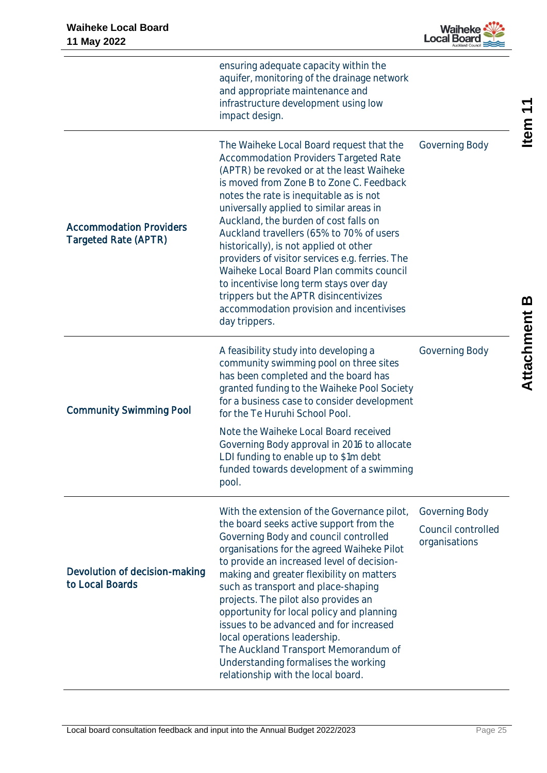

|                                                        | ensuring adequate capacity within the<br>aquifer, monitoring of the drainage network<br>and appropriate maintenance and<br>infrastructure development using low<br>impact design.                                                                                                                                                                                                                                                                                                                                                                                                                                                                      |                                                       |
|--------------------------------------------------------|--------------------------------------------------------------------------------------------------------------------------------------------------------------------------------------------------------------------------------------------------------------------------------------------------------------------------------------------------------------------------------------------------------------------------------------------------------------------------------------------------------------------------------------------------------------------------------------------------------------------------------------------------------|-------------------------------------------------------|
| <b>Accommodation Providers</b><br>Targeted Rate (APTR) | The Waiheke Local Board request that the<br><b>Accommodation Providers Targeted Rate</b><br>(APTR) be revoked or at the least Waiheke<br>is moved from Zone B to Zone C. Feedback<br>notes the rate is inequitable as is not<br>universally applied to similar areas in<br>Auckland, the burden of cost falls on<br>Auckland travellers (65% to 70% of users<br>historically), is not applied ot other<br>providers of visitor services e.g. ferries. The<br>Waiheke Local Board Plan commits council<br>to incentivise long term stays over day<br>trippers but the APTR disincentivizes<br>accommodation provision and incentivises<br>day trippers. | Governing Body                                        |
| <b>Community Swimming Pool</b>                         | A feasibility study into developing a<br>community swimming pool on three sites<br>has been completed and the board has<br>granted funding to the Waiheke Pool Society<br>for a business case to consider development<br>for the Te Huruhi School Pool.<br>Note the Waiheke Local Board received<br>Governing Body approval in 2016 to allocate<br>LDI funding to enable up to \$1m debt<br>funded towards development of a swimming<br>pool.                                                                                                                                                                                                          | Governing Body                                        |
| Devolution of decision-making<br>to Local Boards       | With the extension of the Governance pilot,<br>the board seeks active support from the<br>Governing Body and council controlled<br>organisations for the agreed Waiheke Pilot<br>to provide an increased level of decision-<br>making and greater flexibility on matters<br>such as transport and place-shaping<br>projects. The pilot also provides an<br>opportunity for local policy and planning<br>issues to be advanced and for increased<br>local operations leadership.<br>The Auckland Transport Memorandum of<br>Understanding formalises the working<br>relationship with the local board.                                                  | Governing Body<br>Council controlled<br>organisations |

Item<sub>11</sub>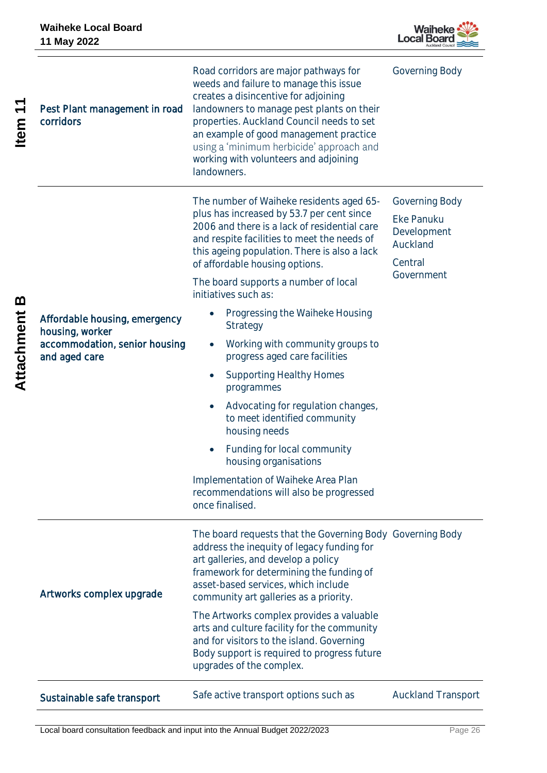

| $\blacktriangledown$<br><b>Item</b> | Pest Plant management in road<br>corridors                                                         | Road corridors are major pathways for<br>weeds and failure to manage this issue<br>creates a disincentive for adjoining<br>landowners to manage pest plants on their<br>properties. Auckland Council needs to set<br>an example of good management practice<br>using a 'minimum herbicide' approach and<br>working with volunteers and adjoining<br>landowners.                                                                                                                                                                                                                                                                                                                                                                                                 | Governing Body                                                                   |
|-------------------------------------|----------------------------------------------------------------------------------------------------|-----------------------------------------------------------------------------------------------------------------------------------------------------------------------------------------------------------------------------------------------------------------------------------------------------------------------------------------------------------------------------------------------------------------------------------------------------------------------------------------------------------------------------------------------------------------------------------------------------------------------------------------------------------------------------------------------------------------------------------------------------------------|----------------------------------------------------------------------------------|
| m<br>Attachment                     | Affordable housing, emergency<br>housing, worker<br>accommodation, senior housing<br>and aged care | The number of Waiheke residents aged 65-<br>plus has increased by 53.7 per cent since<br>2006 and there is a lack of residential care<br>and respite facilities to meet the needs of<br>this ageing population. There is also a lack<br>of affordable housing options.<br>The board supports a number of local<br>initiatives such as:<br>Progressing the Waiheke Housing<br>Strategy<br>Working with community groups to<br>progress aged care facilities<br><b>Supporting Healthy Homes</b><br>programmes<br>Advocating for regulation changes,<br>to meet identified community<br>housing needs<br>Funding for local community<br>housing organisations<br>Implementation of Waiheke Area Plan<br>recommendations will also be progressed<br>once finalised. | Governing Body<br>Eke Panuku<br>Development<br>Auckland<br>Central<br>Government |
|                                     | Artworks complex upgrade                                                                           | The board requests that the Governing Body Governing Body<br>address the inequity of legacy funding for<br>art galleries, and develop a policy<br>framework for determining the funding of<br>asset-based services, which include<br>community art galleries as a priority.<br>The Artworks complex provides a valuable<br>arts and culture facility for the community<br>and for visitors to the island. Governing<br>Body support is required to progress future<br>upgrades of the complex.                                                                                                                                                                                                                                                                  |                                                                                  |
|                                     | Sustainable safe transport                                                                         | Safe active transport options such as                                                                                                                                                                                                                                                                                                                                                                                                                                                                                                                                                                                                                                                                                                                           | <b>Auckland Transport</b>                                                        |